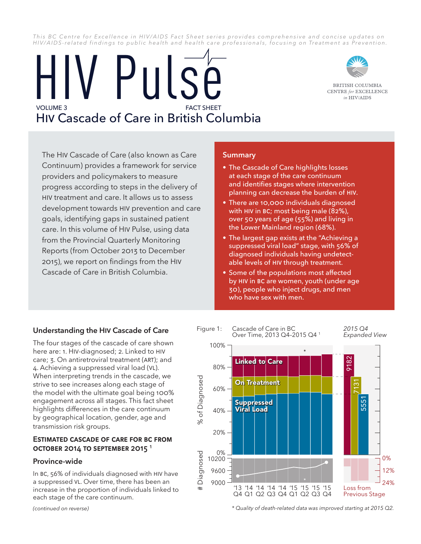This BC Centre for Excellence in HIV/AIDS Fact Sheet series provides comprehensive and concise updates on *HIV/AIDS-related findings to public health and health care professionals, focusing on Treatment as Prevention.*

# VOLUME 3 HIV Cascade of Care in British Columbia IV Pulsé



BRITISH COLUMBIA **CENTRE** for **EXCELLENCE** in HIV/AIDS

The HIV Cascade of Care (also known as Care Continuum) provides a framework for service providers and policymakers to measure progress according to steps in the delivery of HIV treatment and care. It allows us to assess development towards HIV prevention and care goals, identifying gaps in sustained patient care. In this volume of HIV Pulse, using data from the Provincial Quarterly Monitoring Reports (from October 2013 to December 2015), we report on findings from the HIV Cascade of Care in British Columbia.

### **Summary**

- The Cascade of Care highlights losses at each stage of the care continuum and identifies stages where intervention planning can decrease the burden of HIV.
- There are 10,000 individuals diagnosed with HIV in BC; most being male (82%), over 50 years of age (55%) and living in the Lower Mainland region (68%).
- The largest gap exists at the "Achieving a suppressed viral load" stage, with 56% of diagnosed individuals having undetectable levels of HIV through treatment.
- Some of the populations most affected by HIV in BC are women, youth (under age 30), people who inject drugs, and men who have sex with men.

## **Understanding the HIV Cascade of Care**

The four stages of the cascade of care shown here are: 1. HIV-diagnosed; 2. Linked to HIV care; 3. On antiretroviral treatment (ART); and 4. Achieving a suppressed viral load (VL). When interpreting trends in the cascade, we strive to see increases along each stage of the model with the ultimate goal being 100% engagement across all stages. This fact sheet highlights differences in the care continuum by geographical location, gender, age and transmission risk groups.

#### **Estimated Cascade of Care for BC from October 2014 to September 2015 <sup>1</sup>**

#### **Province-wide**

In BC, 56% of individuals diagnosed with HIV have a suppressed VL. Over time, there has been an increase in the proportion of individuals linked to each stage of the care continuum.

*(continued on reverse)*



*\* Quality of death-related data was improved starting at 2015 Q2.*